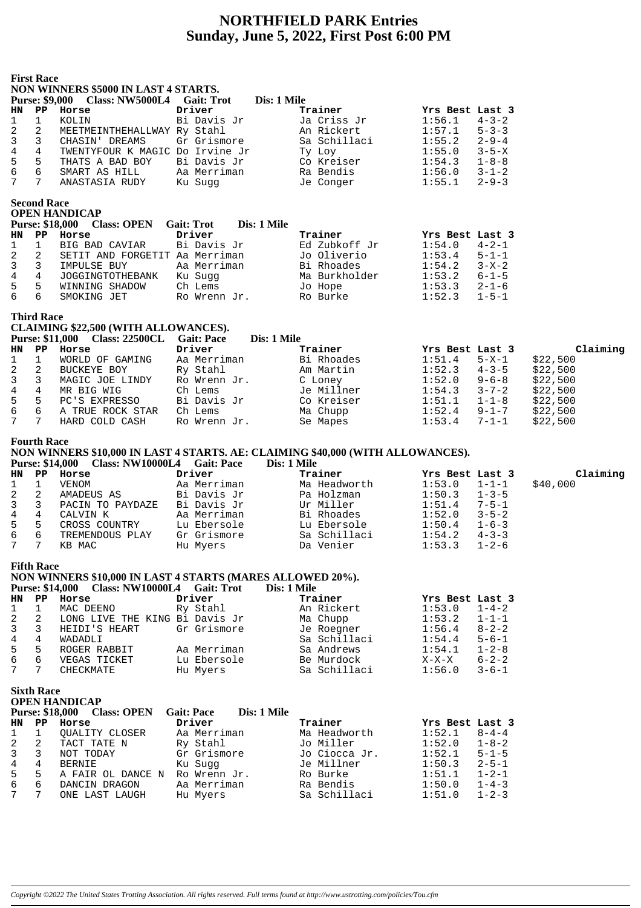## **NORTHFIELD PARK Entries Sunday, June 5, 2022, First Post 6:00 PM**

|                | <b>First Race</b>       | NON WINNERS \$5000 IN LAST 4 STARTS.<br>Purse: \$9,000 Class: NW5000L4 Gait: Trot                                                        |                         | Dis: 1 Mile |                           |                  |                            |          |
|----------------|-------------------------|------------------------------------------------------------------------------------------------------------------------------------------|-------------------------|-------------|---------------------------|------------------|----------------------------|----------|
| HN             | PP                      | Horse                                                                                                                                    | Driver                  |             | Trainer                   | Yrs Best Last 3  |                            |          |
| 1              | 1                       | KOLIN                                                                                                                                    | Bi Davis Jr             |             | Ja Criss Jr               | 1:56.1           | $4 - 3 - 2$                |          |
| 2              | 2                       | MEETMEINTHEHALLWAY Ry Stahl                                                                                                              |                         |             | An Rickert                | 1:57.1           | $5 - 3 - 3$                |          |
| 3              | 3                       | CHASIN' DREAMS                                                                                                                           | Gr Grismore             |             | Sa Schillaci              | 1:55.2           | $2 - 9 - 4$                |          |
| $\,4$          | 4                       | TWENTYFOUR K MAGIC Do Irvine Jr                                                                                                          |                         |             | Ty Loy                    | 1:55.0           | $3 - 5 - X$                |          |
| 5              | 5                       | THATS A BAD BOY                                                                                                                          | Bi Davis Jr             |             | Co Kreiser                | 1:54.3           | $1 - 8 - 8$                |          |
| $\epsilon$     | 6                       | SMART AS HILL                                                                                                                            | Aa Merriman             |             | Ra Bendis                 | 1:56.0           | $3 - 1 - 2$                |          |
| 7              | 7                       | ANASTASIA RUDY                                                                                                                           | Ku Sugg                 |             | Je Conger                 | 1:55.1           | $2 - 9 - 3$                |          |
|                | <b>Second Race</b>      | <b>OPEN HANDICAP</b><br><b>Purse: \$18,000</b><br><b>Class: OPEN</b>                                                                     | <b>Gait: Trot</b>       | Dis: 1 Mile |                           |                  |                            |          |
| HN             | PP                      | Horse                                                                                                                                    | Driver                  |             | Trainer                   | Yrs Best Last 3  |                            |          |
| 1              | 1                       | BIG BAD CAVIAR                                                                                                                           | Bi Davis Jr             |             | Ed Zubkoff Jr             | 1:54.0           | $4 - 2 - 1$                |          |
| 2              | 2                       | SETIT AND FORGETIT Aa Merriman                                                                                                           |                         |             | Jo Oliverio               | 1:53.4           | $5 - 1 - 1$                |          |
| 3              | 3                       | IMPULSE BUY                                                                                                                              | Aa Merriman             |             | Bi Rhoades                | 1:54.2           | $3 - X - 2$                |          |
| 4              | 4                       | JOGGINGTOTHEBANK                                                                                                                         | Ku Sugg                 |             | Ma Burkholder             | 1:53.2           | $6 - 1 - 5$                |          |
| 5              | 5                       | WINNING SHADOW                                                                                                                           | Ch Lems                 |             | Jo Hope                   | 1:53.3           | $2 - 1 - 6$                |          |
| 6              | 6                       | SMOKING JET                                                                                                                              | Ro Wrenn Jr.            |             | Ro Burke                  | 1:52.3           | $1 - 5 - 1$                |          |
|                | <b>Third Race</b>       | <b>CLAIMING \$22,500 (WITH ALLOWANCES).</b>                                                                                              |                         |             |                           |                  |                            |          |
|                |                         | Purse: \$11,000 Class: 22500CL                                                                                                           | <b>Gait: Pace</b>       | Dis: 1 Mile |                           |                  |                            |          |
| HN             | $\mathbf{P} \mathbf{P}$ | Horse                                                                                                                                    | Driver                  |             | Trainer                   | Yrs Best Last 3  |                            | Claiming |
| 1              | 1                       | WORLD OF GAMING                                                                                                                          | Aa Merriman             |             | Bi Rhoades                | 1:51.4           | 5-X-1                      | \$22,500 |
| 2              | 2                       | BUCKEYE BOY                                                                                                                              | Ry Stahl                |             | Am Martin                 | 1:52.3           | $4 - 3 - 5$                | \$22,500 |
| 3              | 3                       | MAGIC JOE LINDY                                                                                                                          | Ro Wrenn Jr.            |             | C Loney                   | 1:52.0           | $9 - 6 - 8$                | \$22,500 |
| 4              | $\overline{4}$          | MR BIG WIG                                                                                                                               | Ch Lems                 |             | Je Millner                | 1:54.3           | $3 - 7 - 2$                | \$22,500 |
| 5              | 5                       | PC'S EXPRESSO                                                                                                                            | Bi Davis Jr             |             | Co Kreiser                | 1:51.1           | $1 - 1 - 8$                | \$22,500 |
| $\epsilon$     | 6                       | A TRUE ROCK STAR                                                                                                                         | Ch Lems                 |             | Ma Chupp                  | 1:52.4           | $9 - 1 - 7$                | \$22,500 |
| 7              | $7\phantom{.}$          | HARD COLD CASH                                                                                                                           | Ro Wrenn Jr.            |             | Se Mapes                  | 1:53.4           | $7 - 1 - 1$                | \$22,500 |
|                | <b>Fourth Race</b>      | NON WINNERS \$10,000 IN LAST 4 STARTS. AE: CLAIMING \$40,000 (WITH ALLOWANCES).<br><b>Purse: \$14,000</b><br>Class: NW10000L4 Gait: Pace |                         | Dis: 1 Mile |                           |                  |                            |          |
| HN             | $_{\rm PP}$             | Horse                                                                                                                                    | Driver                  |             | Trainer                   | Yrs Best Last 3  |                            | Claiming |
| 1              | 1                       | VENOM                                                                                                                                    | Aa Merriman             |             | Ma Headworth              | 1:53.0           | $1 - 1 - 1$                | \$40,000 |
| 2              | 2                       | AMADEUS AS                                                                                                                               | Bi Davis Jr             |             | Pa Holzman                | 1:50.3           | $1 - 3 - 5$                |          |
| 3              | 3                       | PACIN TO PAYDAZE                                                                                                                         | Bi Davis Jr             |             | Ur Miller                 | 1:51.4           | $7 - 5 - 1$                |          |
| $\overline{4}$ | 4                       | CALVIN K                                                                                                                                 | Aa Merriman             |             | Bi Rhoades                | 1:52.0           | $3 - 5 - 2$                |          |
| 5              | 5                       | CROSS COUNTRY                                                                                                                            | Lu Ebersole             |             | Lu Ebersole               | 1:50.4           | $1 - 6 - 3$                |          |
| $\epsilon$     | 6                       | TREMENDOUS PLAY                                                                                                                          | Gr Grismore             |             | Sa Schillaci              | 1:54.2           | $4 - 3 - 3$                |          |
| 7              | 7                       | KB MAC                                                                                                                                   | Hu Myers                |             | Da Venier                 | 1:53.3           | $1 - 2 - 6$                |          |
|                | <b>Fifth Race</b>       | NON WINNERS \$10,000 IN LAST 4 STARTS (MARES ALLOWED 20%).<br><b>Purse: \$14,000 Class: NW10000L4 Gait: Trot</b>                         |                         | Dis: 1 Mile |                           |                  |                            |          |
| HN             | PP                      | Horse                                                                                                                                    | Driver                  |             | Trainer                   | Yrs Best Last 3  |                            |          |
| 1              | 1                       | MAC DEENO                                                                                                                                | Ry Stahl                |             | An Rickert                | 1:53.0           | $1 - 4 - 2$                |          |
| 2              | 2                       | LONG LIVE THE KING Bi Davis Jr                                                                                                           |                         |             | Ma Chupp                  | 1:53.2           | $1 - 1 - 1$                |          |
| 3              | 3                       | HEIDI'S HEART                                                                                                                            | Gr Grismore             |             | Je Roegner                | 1:56.4           | $8 - 2 - 2$                |          |
| 4              | 4                       | WADADLI                                                                                                                                  |                         |             | Sa Schillaci              | 1:54.4           | $5 - 6 - 1$                |          |
| 5              |                         |                                                                                                                                          |                         |             |                           |                  |                            |          |
| 6              | 5                       | ROGER RABBIT                                                                                                                             | Aa Merriman             |             | Sa Andrews                | 1:54.1           | $1 - 2 - 8$                |          |
|                | 6                       | VEGAS TICKET                                                                                                                             | Lu Ebersole             |             | Be Murdock                | $X-X-X$          | $6 - 2 - 2$                |          |
| 7              | 7                       | CHECKMATE                                                                                                                                | Hu Myers                |             | Sa Schillaci              | 1:56.0           | $3 - 6 - 1$                |          |
|                | <b>Sixth Race</b>       | <b>OPEN HANDICAP</b><br><b>Purse: \$18,000</b><br><b>Class: OPEN</b>                                                                     | <b>Gait: Pace</b>       | Dis: 1 Mile |                           |                  |                            |          |
| HN             | PP                      | Horse                                                                                                                                    | Driver                  |             | Trainer                   | Yrs Best Last 3  |                            |          |
| 1              | 1                       | QUALITY CLOSER                                                                                                                           | Aa Merriman             |             | Ma Headworth              | 1:52.1           | $8 - 4 - 4$                |          |
| 2              | 2                       | TACT TATE N                                                                                                                              | Ry Stahl                |             | Jo Miller                 | 1:52.0           | $1 - 8 - 2$                |          |
| 3              | 3                       | NOT TODAY                                                                                                                                | Gr Grismore             |             | Jo Ciocca Jr.             | 1:52.1           | $5 - 1 - 5$                |          |
| 4              | 4                       | <b>BERNIE</b>                                                                                                                            | Ku Sugg                 |             | Je Millner                | 1:50.3           | $2 - 5 - 1$                |          |
| 5              | 5                       | A FAIR OL DANCE N                                                                                                                        | Ro Wrenn Jr.            |             | Ro Burke                  | 1:51.1           | $1 - 2 - 1$                |          |
| 6<br>7         | 6<br>7                  | DANCIN DRAGON<br>ONE LAST LAUGH                                                                                                          | Aa Merriman<br>Hu Myers |             | Ra Bendis<br>Sa Schillaci | 1:50.0<br>1:51.0 | $1 - 4 - 3$<br>$1 - 2 - 3$ |          |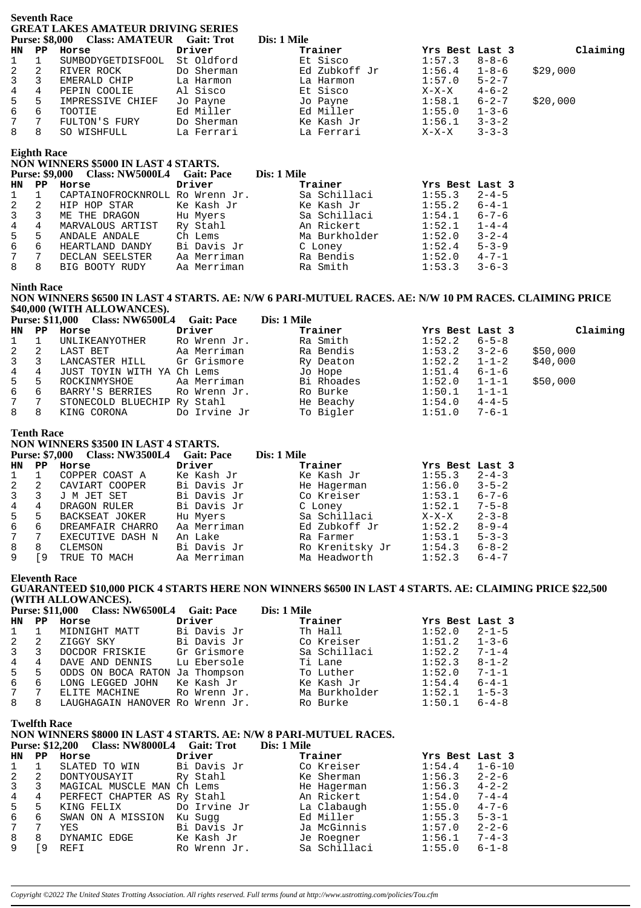|                     | <b>Seventh Race</b>                        | <b>GREAT LAKES AMATEUR DRIVING SERIES</b><br>Purse: \$8,000 Class: AMATEUR Gait: Trot                                                                                   |                             | Dis: 1 Mile |                               |                           |                            |          |
|---------------------|--------------------------------------------|-------------------------------------------------------------------------------------------------------------------------------------------------------------------------|-----------------------------|-------------|-------------------------------|---------------------------|----------------------------|----------|
| HN                  | PP                                         | Horse                                                                                                                                                                   | Driver                      |             | Trainer                       | Yrs Best Last 3           |                            | Claiming |
| 1                   | $\mathbf{1}$                               | SUMBODYGETDISFOOL St Oldford                                                                                                                                            |                             |             | Et Sisco                      | 1:57.3                    | $8 - 8 - 6$                |          |
| $\sqrt{2}$          | 2                                          | RIVER ROCK                                                                                                                                                              | Do Sherman                  |             | Ed Zubkoff Jr                 | 1:56.4                    | $1 - 8 - 6$                | \$29,000 |
| 3                   | 3                                          | EMERALD CHIP                                                                                                                                                            | La Harmon                   |             | La Harmon                     | 1:57.0                    | $5 - 2 - 7$                |          |
| $\overline{4}$<br>5 | 4<br>5                                     | PEPIN COOLIE<br>IMPRESSIVE CHIEF                                                                                                                                        | Al Sisco<br>Jo Payne        |             | Et Sisco<br>Jo Payne          | $X-X-X$<br>1:58.1         | $4 - 6 - 2$<br>$6 - 2 - 7$ | \$20,000 |
| $\epsilon$          | 6                                          | TOOTIE                                                                                                                                                                  | Ed Miller                   |             |                               | 1:55.0                    | $1 - 3 - 6$                |          |
| 7                   | 7                                          | FULTON'S FURY                                                                                                                                                           | Do Sherman                  |             | Ed Miii.<br>Ke Kash Jr        | 1:56.1                    | $3 - 3 - 2$                |          |
| 8                   | 8                                          | SO WISHFULL                                                                                                                                                             | La Ferrari                  |             | La Ferrari                    | $X-X-X$                   | $3 - 3 - 3$                |          |
|                     | <b>Eighth Race</b>                         | NON WINNERS \$5000 IN LAST 4 STARTS.<br>Purse: \$9,000 Class: NW5000L4 Gait: Pace                                                                                       |                             | Dis: 1 Mile |                               |                           |                            |          |
| HN                  | $\mathbf{P} \mathbf{P}$                    | Horse                                                                                                                                                                   | Driver                      |             | Trainer                       | Yrs Best Last 3           |                            |          |
| 1                   | $\mathbf 1$                                | CAPTAINOFROCKNROLL Ro Wrenn Jr.                                                                                                                                         |                             |             | Sa Schillaci                  | 1:55.3                    | $2 - 4 - 5$                |          |
| 2<br>3              | 2<br>3                                     | HIP HOP STAR<br>ME THE DRAGON                                                                                                                                           | Ke Kash Jr<br>Hu Myers      |             | Ke Kash Jr<br>Sa Schillaci    | 1:55.2<br>1:54.1          | $6 - 4 - 1$<br>$6 - 7 - 6$ |          |
| $\,4$               | 4                                          | MARVALOUS ARTIST                                                                                                                                                        | Ry Stahl                    |             | An Rickert                    | 1:52.1                    | $1 - 4 - 4$                |          |
| 5                   | 5                                          | ANDALE ANDALE                                                                                                                                                           | Ch Lems                     |             | An Rickert<br>Ma Burkholder   | 1:52.0                    | $3 - 2 - 4$                |          |
| 6                   | 6                                          | HEARTLAND DANDY Bi Davis Jr<br>DECLAN SEELSTER Aa Merriman                                                                                                              |                             |             | C Loney                       | 1:52.4                    | $5 - 3 - 9$                |          |
| 7<br>8              | $7\overline{ }$<br>8                       |                                                                                                                                                                         | Aa Merriman                 |             | Ra Bendis<br>Ra Smith         | 1:52.0<br>1:53.3          | $4 - 7 - 1$<br>$3 - 6 - 3$ |          |
|                     | <b>Ninth Race</b>                          | BIG BOOTY RUDY<br>NON WINNERS \$6500 IN LAST 4 STARTS. AE: N/W 6 PARI-MUTUEL RACES. AE: N/W 10 PM RACES. CLAIMING PRICE<br>\$40,000 (WITH ALLOWANCES).                  |                             |             |                               |                           |                            |          |
| HN.                 | $\mathbf{P} \mathbf{P}$                    | <b>Purse: \$11,000</b><br><b>Class: NW6500L4</b><br>Horse                                                                                                               | <b>Gait: Pace</b><br>Driver | Dis: 1 Mile | Trainer                       | Yrs Best Last 3           |                            | Claiming |
| 1                   | 1                                          | UNLIKEANYOTHER                                                                                                                                                          | Ro Wrenn Jr.                |             | Ra Smith                      | 1:52.2                    | $6 - 5 - 8$                |          |
| 2                   | 2                                          | LAST BET                                                                                                                                                                | Aa Merriman                 |             | Ra Bendis                     | 1:53.2                    | $3 - 2 - 6$                | \$50,000 |
| 3                   | 3                                          | LANCASTER HILL                                                                                                                                                          | Gr Grismore                 |             | Ry Deaton                     | 1:52.2                    | $1 - 1 - 2$                | \$40,000 |
| $\,4$               | 4                                          | JUST TOYIN WITH YA Ch Lems                                                                                                                                              |                             |             | Jo Hope                       | 1:51.4                    | $6 - 1 - 6$                |          |
| 5<br>$\epsilon$     | 5<br>6                                     | ROCKINMYSHOE                                                                                                                                                            | Aa Merriman                 |             | Bi Rhoades<br>Ro Burke        | 1:52.0<br>1:50.1          | $1 - 1 - 1$<br>$1 - 1 - 1$ | \$50,000 |
| 7                   | 7                                          | BARRY'S BERRIES<br>STONECOLD BLUECHIP Ry Stahl                                                                                                                          | Ro Wrenn Jr.                |             | He Beachy                     | 1:54.0                    | $4 - 4 - 5$                |          |
| 8                   | 8                                          | KING CORONA                                                                                                                                                             | Do Irvine Jr                |             | To Bigler                     | 1:51.0                    | $7 - 6 - 1$                |          |
|                     | <b>Tenth Race</b><br><b>Purse: \$7,000</b> | NON WINNERS \$3500 IN LAST 4 STARTS.<br>Class: NW3500L4 Gait: Pace                                                                                                      |                             | Dis: 1 Mile |                               |                           |                            |          |
| <b>HN</b><br>1      | $\mathbf{P} \mathbf{P}$<br>$\mathbf 1$     | Horse<br>COPPER COAST A                                                                                                                                                 | Driver<br>Ke Kash Jr        |             | Trainer<br>Ke Kash Jr         | Yrs Best Last 3<br>1:55.3 | $2 - 4 - 3$                |          |
| 2                   | 2                                          | CAVIART COOPER                                                                                                                                                          | Bi Davis Jr                 |             | He Hagerman                   | 1:56.0                    | $3 - 5 - 2$                |          |
| 3                   | 3                                          | J M JET SET                                                                                                                                                             | Bi Davis Jr                 |             | Co Kreiser                    | 1:53.1                    | $6 - 7 - 6$                |          |
| 4                   | 4                                          | DRAGON RULER                                                                                                                                                            | Bi Davis Jr                 |             | C Loney                       | 1:52.1                    | $7 - 5 - 8$                |          |
| 5                   | 5<br>6                                     | BACKSEAT JOKER                                                                                                                                                          | Hu Myers                    |             | Sa Schillaci<br>Ed Zubkoff Jr | $X-X-X$                   | $2 - 3 - 8$                |          |
| 6<br>7              | 7                                          | DREAMFAIR CHARRO<br>EXECUTIVE DASH N                                                                                                                                    | Aa Merriman<br>An Lake      |             | Ra Farmer                     | 1:52.2<br>1:53.1          | $8 - 9 - 4$<br>$5 - 3 - 3$ |          |
| 8                   | 8                                          | CLEMSON                                                                                                                                                                 | Bi Davis Jr                 |             | Ro Krenitsky Jr               | 1:54.3                    | $6 - 8 - 2$                |          |
| 9                   | [9                                         | TRUE TO MACH                                                                                                                                                            | Aa Merriman                 |             | Ma Headworth                  | 1:52.3                    | $6 - 4 - 7$                |          |
|                     | <b>Eleventh Race</b>                       | GUARANTEED \$10,000 PICK 4 STARTS HERE NON WINNERS \$6500 IN LAST 4 STARTS. AE: CLAIMING PRICE \$22,500<br>(WITH ALLOWANCES).<br><b>Purse: \$11,000 Class: NW6500L4</b> | <b>Gait: Pace</b>           | Dis: 1 Mile |                               |                           |                            |          |
| HN                  | $\mathbf{P} \mathbf{P}$                    | Horse                                                                                                                                                                   | Driver                      |             | Trainer                       | Yrs Best Last 3           |                            |          |
| 1<br>2              | 1<br>2                                     | MIDNIGHT MATT<br>ZIGGY SKY                                                                                                                                              | Bi Davis Jr<br>Bi Davis Jr  |             | Th Hall<br>Co Kreiser         | 1:52.0<br>1:51.2          | $2 - 1 - 5$<br>$1 - 3 - 6$ |          |
| 3                   | 3                                          | DOCDOR FRISKIE                                                                                                                                                          | Gr Grismore                 |             | Sa Schillaci                  | 1:52.2                    | $7 - 1 - 4$                |          |
| 4                   | 4                                          | DAVE AND DENNIS                                                                                                                                                         | Lu Ebersole                 |             | Ti Lane                       | 1:52.3                    | $8 - 1 - 2$                |          |
| 5                   | 5                                          | ODDS ON BOCA RATON Ja Thompson                                                                                                                                          |                             |             | To Luther                     | 1:52.0                    | $7 - 1 - 1$                |          |
| 6                   | 6                                          | LONG LEGGED JOHN                                                                                                                                                        | Ke Kash Jr                  |             | Ke Kash Jr                    | 1:54.4                    | $6 - 4 - 1$                |          |
| 7<br>8              | 7<br>8                                     | ELITE MACHINE<br>LAUGHAGAIN HANOVER Ro Wrenn Jr.                                                                                                                        | Ro Wrenn Jr.                |             | Ma Burkholder<br>Ro Burke     | 1:52.1<br>1:50.1          | $1 - 5 - 3$<br>$6 - 4 - 8$ |          |
|                     | <b>Twelfth Race</b>                        | NON WINNERS \$8000 IN LAST 4 STARTS. AE: N/W 8 PARI-MUTUEL RACES.                                                                                                       |                             |             |                               |                           |                            |          |
|                     |                                            | Purse: \$12,200 Class: NW8000L4 Gait: Trot                                                                                                                              |                             | Dis: 1 Mile |                               |                           |                            |          |
| HN.                 | $\mathbf{P} \mathbf{P}$                    | Horse                                                                                                                                                                   | Driver                      |             | Trainer                       | Yrs Best Last 3           |                            |          |
| 1                   | $\mathbf 1$                                | SLATED TO WIN                                                                                                                                                           | Bi Davis Jr                 |             | Co Kreiser                    | 1:54.4                    | $1 - 6 - 10$               |          |
| 2<br>3              | 2<br>3                                     | DONTYOUSAYIT<br>MAGICAL MUSCLE MAN Ch Lems                                                                                                                              | Ry Stahl                    |             | Ke Sherman<br>He Hagerman     | 1:56.3<br>1:56.3          | $2 - 2 - 6$<br>$4 - 2 - 2$ |          |
| 4                   | 4                                          | PERFECT CHAPTER AS Ry Stahl                                                                                                                                             |                             |             | An Rickert                    | 1:54.0                    | $7 - 4 - 4$                |          |
| 5                   | 5                                          | KING FELIX                                                                                                                                                              | Do Irvine Jr                |             | La Clabaugh                   | 1:55.0                    | $4 - 7 - 6$                |          |
| $\epsilon$          | 6                                          | SWAN ON A MISSION Ku Suqq                                                                                                                                               |                             |             | Ed Miller                     | 1:55.3                    | $5 - 3 - 1$                |          |
| 7<br>8              | 7<br>8                                     | YES<br>DYNAMIC EDGE                                                                                                                                                     | Bi Davis Jr<br>Ke Kash Jr   |             | Ja McGinnis                   | 1:57.0<br>1:56.1          | $2 - 2 - 6$<br>$7 - 4 - 3$ |          |
|                     |                                            |                                                                                                                                                                         |                             |             | Je Roegner                    |                           |                            |          |

*Copyright ©2022 The United States Trotting Association. All rights reserved. Full terms found at http://www.ustrotting.com/policies/Tou.cfm*

9 [9 REFI Ro Wrenn Jr. Sa Schillaci 1:55.0 6-1-8